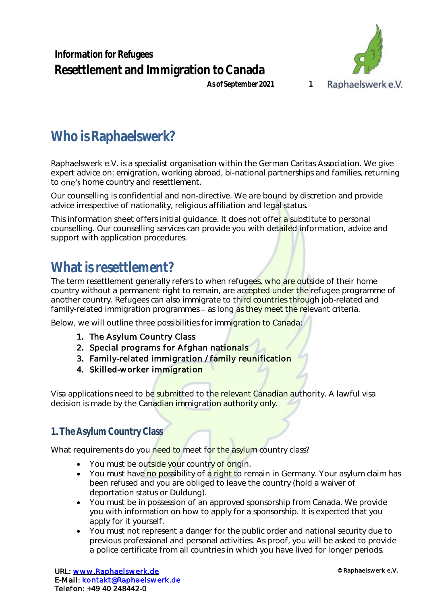**Information for Refugees Resettlement and Immigration to Canada**



### **As of September 2021 1**

# **Who is Raphaelswerk?**

Raphaelswerk e.V. is a specialist organisation within the German Caritas Association. We give expert advice on: emigration, working abroad, bi-national partnerships and families, returning to one's home country and resettlement.

Our counselling is confidential and non-directive. We are bound by discretion and provide advice irrespective of nationality, religious affiliation and legal status.

This information sheet offers initial guidance. It does not offer a substitute to personal counselling. Our counselling services can provide you with detailed information, advice and support with application procedures.

# **What isresettlement?**

The term resettlement generally refers to when refugees, who are outside of their home country without a permanent right to remain, are accepted under the refugee programme of another country. Refugees can also immigrate to third countries through job-related and family-related immigration programmes – as long as they meet the relevant criteria.

Below, we will outline three possibilities for immigration to Canada:

- 1. The Asylum Country Class
- 2. Special programs for Afghan nationals
- 3. Family-related immigration / family reunification
- 4. Skilled-worker immigration

Visa applications need to be submitted to the relevant Canadian authority. A lawful visa decision is made by the Canadian immigration authority only.

## **1. The Asylum Country Class**

What requirements do you need to meet for the asylum country class?

- You must be outside your country of origin.
- You must have no possibility of a right to remain in Germany. Your asylum claim has been refused and you are obliged to leave the country (hold a waiver of deportation status or Duldung).
- You must be in possession of an approved sponsorship from Canada. We provide you with information on how to apply for a sponsorship. It is expected that you apply for it yourself.
- You must not represent a danger for the public order and national security due to previous professional and personal activities. As proof, you will be asked to provide a police certificate from all countries in which you have lived for longer periods.

URL: [www.Raphaelswerk.de](http://www.raphaelswerk.de/)  E-Mail: [kontakt@Raphaelswerk.de](mailto:kontakt@Raphaelswerk.de)  Telefon: +49 40 248442-0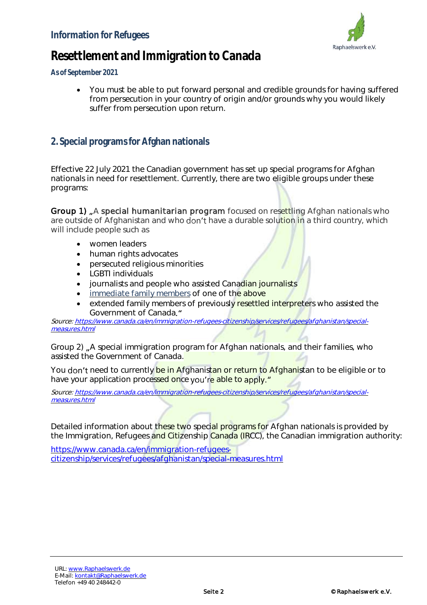

## **Resettlement and Immigration to Canada**

**As of September 2021**

 You must be able to put forward personal and credible grounds for having suffered from persecution in your country of origin and/or grounds why you would likely suffer from persecution upon return.

### **2. Special programsfor Afghan nationals**

Effective 22 July 2021 the Canadian government has set up special programs for Afghan nationals in need for resettlement. Currently, there are two eligible groups under these programs:

Group 1) "A special humanitarian program focused on resettling Afghan nationals who are outside of Afghanistan and who don't have a durable solution in a third country, which will include people such as

- women leaders
- human rights advocates
- persecuted religious minorities
- LGBTI individuals
- journalists and people who assisted Canadian journalists
- **Immediate family members of one of the above**
- extended family members of previously resettled interpreters who assisted the Government of Canada

Source: [https://www.canada.ca/en/immigration-refugees-citizenship/services/refugees/afghanistan/special](https://www.canada.ca/en/immigration-refugees-citizenship/services/refugees/afghanistan/special-measures.html)[measures.html](https://www.canada.ca/en/immigration-refugees-citizenship/services/refugees/afghanistan/special-measures.html)

Group 2) "A special immigration program for Afghan nationals, and their families, who assisted the Government of Canada.

You don't need to currently be in Afghanistan or return to Afghanistan to be eligible or to have your application processed once you're able to apply."

Source: [https://www.canada.ca/en/immigration-refugees-citizenship/services/refugees/afghanistan/special](https://www.canada.ca/en/immigration-refugees-citizenship/services/refugees/afghanistan/special-measures.html)[measures.html](https://www.canada.ca/en/immigration-refugees-citizenship/services/refugees/afghanistan/special-measures.html)

Detailed information about these two special programs for Afghan nationals is provided by the Immigration, Refugees and Citizenship Canada (IRCC), the Canadian immigration authority:

[https://www.canada.ca/en/immigration-refugees](https://www.canada.ca/en/immigration-refugees-citizenship/services/refugees/afghanistan/special-measures.html)[citizenship/services/refugees/afghanistan/special-measures.html](https://www.canada.ca/en/immigration-refugees-citizenship/services/refugees/afghanistan/special-measures.html)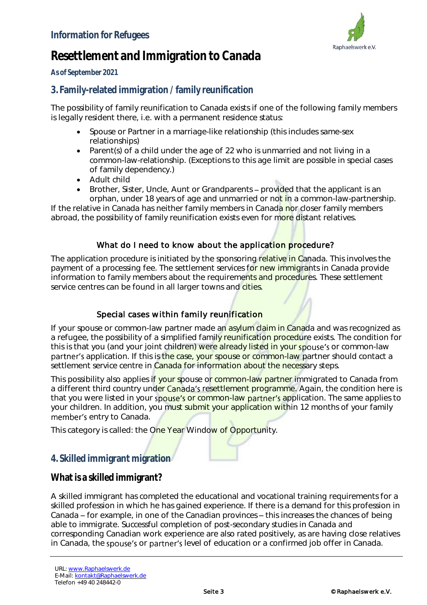

# **Resettlement and Immigration to Canada**

**As of September 2021**

## **3. Family-related immigration /family reunification**

The possibility of family reunification to Canada exists if one of the following family members is legally resident there, i.e. with a permanent residence status:

- Spouse or Partner in a marriage-like relationship (this includes same-sex relationships)
- Parent(s) of a child under the age of 22 who is unmarried and not living in a common-law-relationship. (Exceptions to this age limit are possible in special cases of family dependency.)
- Adult child
- Brother, Sister, Uncle, Aunt or Grandparents provided that the applicant is an orphan, under 18 years of age and unmarried or not in a common-law-partnership.

If the relative in Canada has neither family members in Canada nor closer family members abroad, the possibility of family reunification exists even for more distant relatives.

#### What do I need to know about the application procedure?

The application procedure is initiated by the sponsoring relative in Canada. This involves the payment of a processing fee. The settlement services for new immigrants in Canada provide information to family members about the requirements and procedures. These settlement service centres can be found in all larger towns and cities.

### Special cases within family reunification

If your spouse or common-law partner made an asylum claim in Canada and was recognized as a refugee, the possibility of a simplified family reunification procedure exists. The condition for this is that you (and your joint children) were already listed in your spouse's or common-law partner's application. If this is the case, your spouse or common-law partner should contact a settlement service centre in Canada for information about the necessary steps.

This possibility also applies if your spouse or common-law partner immigrated to Canada from a different third country under Canada's resettlement programme. Again, the condition here is that you were listed in your spouse's or common-law partner's application. The same applies to your children. In addition, you must submit your application within 12 months of your family member's entry to Canada.

This category is called: the One Year Window of Opportunity.

## **4. Skilled immigrant migration**

**What is a skilled immigrant?**

A skilled immigrant has completed the educational and vocational training requirements for a skilled profession in which he has gained experience. If there is a demand for this profession in Canada – for example, in one of the Canadian provinces – this increases the chances of being able to immigrate. Successful completion of post-secondary studies in Canada and corresponding Canadian work experience are also rated positively, as are having close relatives in Canada, the spouse's or partner's level of education or a confirmed job offer in Canada.